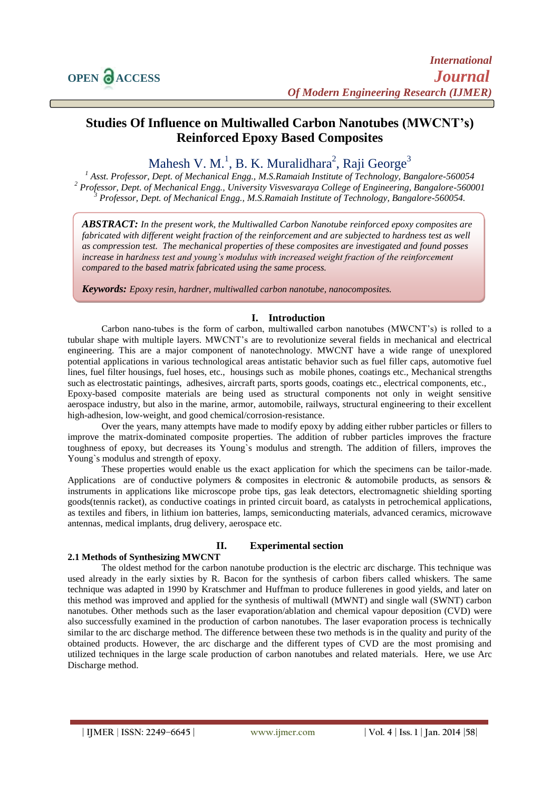# **Studies Of Influence on Multiwalled Carbon Nanotubes (MWCNT's) Reinforced Epoxy Based Composites**

# Mahesh V. M.<sup>1</sup>, B. K. Muralidhara<sup>2</sup>, Raji George<sup>3</sup>

*<sup>1</sup> Asst. Professor, Dept. of Mechanical Engg., M.S.Ramaiah Institute of Technology, Bangalore-560054 <sup>2</sup> Professor, Dept. of Mechanical Engg., University Visvesvaraya College of Engineering, Bangalore-560001 <sup>3</sup> Professor, Dept. of Mechanical Engg., M.S.Ramaiah Institute of Technology, Bangalore-560054.*

*ABSTRACT: In the present work, the Multiwalled Carbon Nanotube reinforced epoxy composites are fabricated with different weight fraction of the reinforcement and are subjected to hardness test as well as compression test. The mechanical properties of these composites are investigated and found posses increase in hardness test and young's modulus with increased weight fraction of the reinforcement compared to the based matrix fabricated using the same process.* 

*Keywords: Epoxy resin, hardner, multiwalled carbon nanotube, nanocomposites.*

## **I. Introduction**

Carbon nano-tubes is the form of carbon, multiwalled carbon nanotubes (MWCNT's) is rolled to a tubular shape with multiple layers. MWCNT's are to revolutionize several fields in mechanical and electrical engineering. This are a major component of nanotechnology. MWCNT have a wide range of unexplored potential applications in various technological areas antistatic behavior such as fuel filler caps, automotive fuel lines, fuel filter housings, fuel hoses, etc., housings such as mobile phones, coatings etc., Mechanical strengths such as electrostatic paintings, adhesives, aircraft parts, sports goods, coatings etc., electrical components, etc., Epoxy-based composite materials are being used as structural components not only in weight sensitive aerospace industry, but also in the marine, armor, automobile, railways, structural engineering to their excellent high-adhesion, low-weight, and good chemical/corrosion-resistance.

Over the years, many attempts have made to modify epoxy by adding either rubber particles or fillers to improve the matrix-dominated composite properties. The addition of rubber particles improves the fracture toughness of epoxy, but decreases its Young`s modulus and strength. The addition of fillers, improves the Young's modulus and strength of epoxy.

These properties would enable us the exact application for which the specimens can be tailor-made. Applications are of conductive polymers & composites in electronic & automobile products, as sensors & instruments in applications like microscope probe tips, gas leak detectors, electromagnetic shielding sporting goods(tennis racket), as conductive coatings in printed circuit board, as catalysts in petrochemical applications, as textiles and fibers, in lithium ion batteries, lamps, semiconducting materials, advanced ceramics, microwave antennas, medical implants, drug delivery, aerospace etc.

## **2.1 Methods of Synthesizing MWCNT**

### **II. Experimental section**

The oldest method for the carbon nanotube production is the electric arc discharge. This technique was used already in the early sixties by R. Bacon for the synthesis of carbon fibers called whiskers. The same technique was adapted in 1990 by Kratschmer and Huffman to produce fullerenes in good yields, and later on this method was improved and applied for the synthesis of multiwall (MWNT) and single wall (SWNT) carbon nanotubes. Other methods such as the laser evaporation/ablation and chemical vapour deposition (CVD) were also successfully examined in the production of carbon nanotubes. The laser evaporation process is technically similar to the arc discharge method. The difference between these two methods is in the quality and purity of the obtained products. However, the arc discharge and the different types of CVD are the most promising and utilized techniques in the large scale production of carbon nanotubes and related materials. Here, we use Arc Discharge method.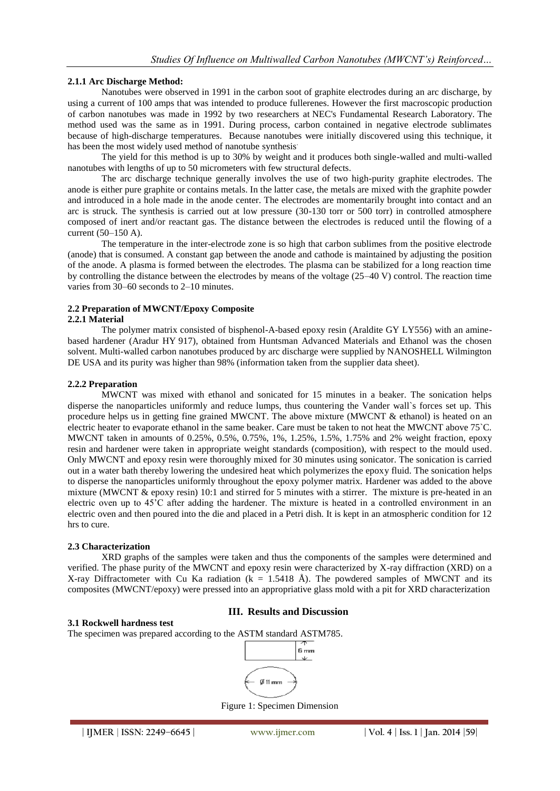#### **2.1.1 Arc Discharge Method:**

Nanotubes were observed in 1991 in the carbon soot of graphite electrodes during an arc discharge, by using a current of 100 amps that was intended to produce fullerenes. However the first macroscopic production of carbon nanotubes was made in 1992 by two researchers at NEC's Fundamental Research Laboratory. The method used was the same as in 1991. During process, carbon contained in negative electrode sublimates because of high-discharge temperatures. Because nanotubes were initially discovered using this technique, it has been the most widely used method of nanotube synthesis.

The yield for this method is up to 30% by weight and it produces both single-walled and multi-walled nanotubes with lengths of up to 50 micrometers with few structural defects.

The arc discharge technique generally involves the use of two high-purity graphite electrodes. The anode is either pure graphite or contains metals. In the latter case, the metals are mixed with the graphite powder and introduced in a hole made in the anode center. The electrodes are momentarily brought into contact and an arc is struck. The synthesis is carried out at low pressure (30-130 torr or 500 torr) in controlled atmosphere composed of inert and/or reactant gas. The distance between the electrodes is reduced until the flowing of a current (50–150 A).

The temperature in the inter-electrode zone is so high that carbon sublimes from the positive electrode (anode) that is consumed. A constant gap between the anode and cathode is maintained by adjusting the position of the anode. A plasma is formed between the electrodes. The plasma can be stabilized for a long reaction time by controlling the distance between the electrodes by means of the voltage (25–40 V) control. The reaction time varies from 30–60 seconds to 2–10 minutes.

## **2.2 Preparation of MWCNT/Epoxy Composite**

#### **2.2.1 Material**

The polymer matrix consisted of bisphenol-A-based epoxy resin (Araldite GY LY556) with an aminebased hardener (Aradur HY 917), obtained from Huntsman Advanced Materials and Ethanol was the chosen solvent. Multi-walled carbon nanotubes produced by arc discharge were supplied by NANOSHELL Wilmington DE USA and its purity was higher than 98% (information taken from the supplier data sheet).

#### **2.2.2 Preparation**

MWCNT was mixed with ethanol and sonicated for 15 minutes in a beaker. The sonication helps disperse the nanoparticles uniformly and reduce lumps, thus countering the Vander wall`s forces set up. This procedure helps us in getting fine grained MWCNT. The above mixture (MWCNT & ethanol) is heated on an electric heater to evaporate ethanol in the same beaker. Care must be taken to not heat the MWCNT above 75`C. MWCNT taken in amounts of 0.25%, 0.5%, 0.75%, 1%, 1.25%, 1.5%, 1.75% and 2% weight fraction, epoxy resin and hardener were taken in appropriate weight standards (composition), with respect to the mould used. Only MWCNT and epoxy resin were thoroughly mixed for 30 minutes using sonicator. The sonication is carried out in a water bath thereby lowering the undesired heat which polymerizes the epoxy fluid. The sonication helps to disperse the nanoparticles uniformly throughout the epoxy polymer matrix. Hardener was added to the above mixture (MWCNT  $\&$  epoxy resin) 10:1 and stirred for 5 minutes with a stirrer. The mixture is pre-heated in an electric oven up to 45'C after adding the hardener. The mixture is heated in a controlled environment in an electric oven and then poured into the die and placed in a Petri dish. It is kept in an atmospheric condition for 12 hrs to cure.

#### **2.3 Characterization**

XRD graphs of the samples were taken and thus the components of the samples were determined and verified. The phase purity of the MWCNT and epoxy resin were characterized by X-ray diffraction (XRD) on a X-ray Diffractometer with Cu Ka radiation ( $k = 1.5418$  Å). The powdered samples of MWCNT and its composites (MWCNT/epoxy) were pressed into an appropriative glass mold with a pit for XRD characterization

## **III. Results and Discussion**

#### **3.1 Rockwell hardness test**

The specimen was prepared according to the ASTM standard ASTM785.



Figure 1: Specimen Dimension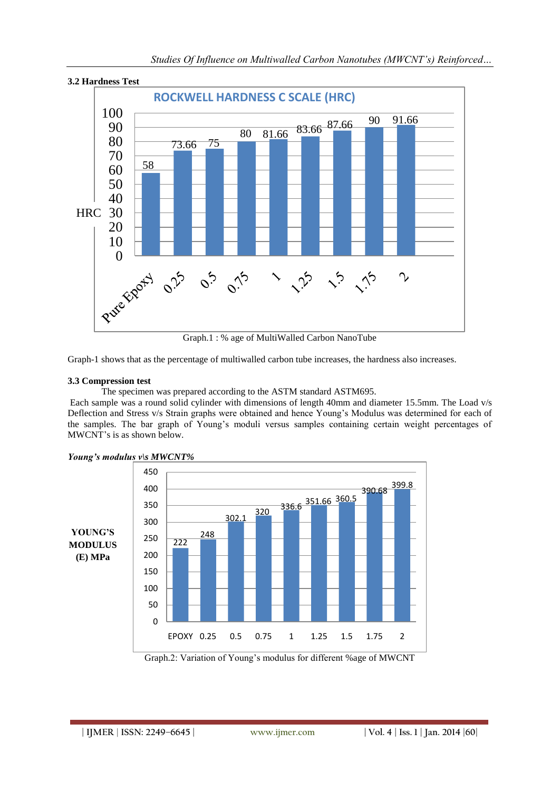

Graph.1 : % age of MultiWalled Carbon NanoTube

Graph-1 shows that as the percentage of multiwalled carbon tube increases, the hardness also increases.

#### **3.3 Compression test**

The specimen was prepared according to the ASTM standard ASTM695.

Each sample was a round solid cylinder with dimensions of length 40mm and diameter 15.5mm. The Load v/s Deflection and Stress v/s Strain graphs were obtained and hence Young's Modulus was determined for each of the samples. The bar graph of Young's moduli versus samples containing certain weight percentages of MWCNT's is as shown below.



#### *Young's modulus v\s MWCNT%*

Graph.2: Variation of Young's modulus for different %age of MWCNT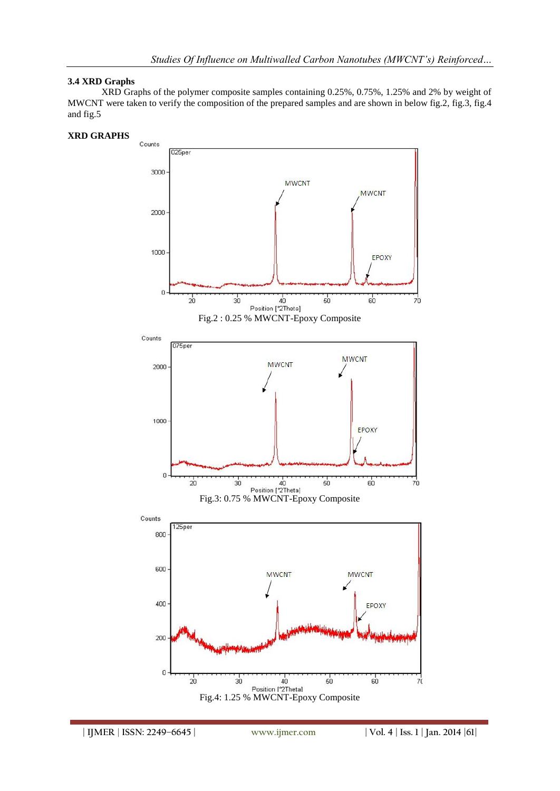## **3.4 XRD Graphs**

XRD Graphs of the polymer composite samples containing 0.25%, 0.75%, 1.25% and 2% by weight of MWCNT were taken to verify the composition of the prepared samples and are shown in below fig.2, fig.3, fig.4 and fig.5



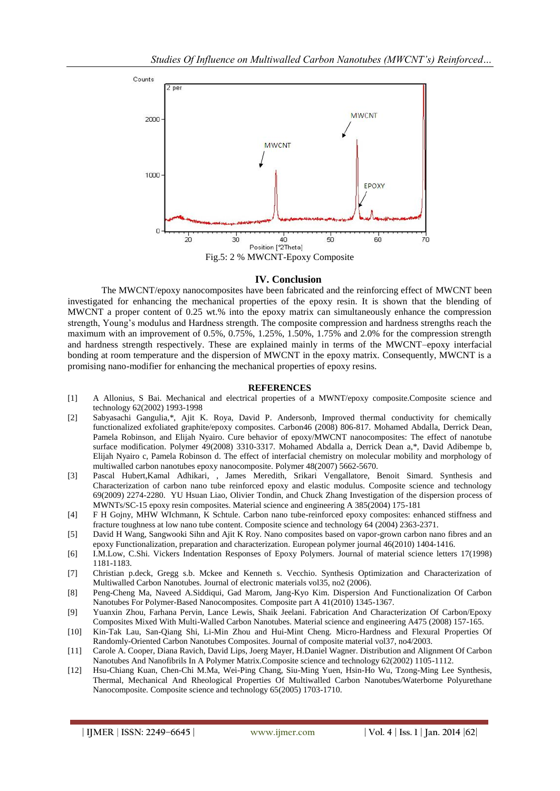

#### **IV. Conclusion**

The MWCNT/epoxy nanocomposites have been fabricated and the reinforcing effect of MWCNT been investigated for enhancing the mechanical properties of the epoxy resin. It is shown that the blending of MWCNT a proper content of 0.25 wt.% into the epoxy matrix can simultaneously enhance the compression strength, Young's modulus and Hardness strength. The composite compression and hardness strengths reach the maximum with an improvement of 0.5%, 0.75%, 1.25%, 1.50%, 1.75% and 2.0% for the compression strength and hardness strength respectively. These are explained mainly in terms of the MWCNT–epoxy interfacial bonding at room temperature and the dispersion of MWCNT in the epoxy matrix. Consequently, MWCNT is a promising nano-modifier for enhancing the mechanical properties of epoxy resins.

#### **REFERENCES**

- [1] A Allonius, S Bai. Mechanical and electrical properties of a MWNT/epoxy composite.Composite science and technology 62(2002) 1993-1998
- [2] Sabyasachi Gangulia,\*, Ajit K. Roya, David P. Andersonb, Improved thermal conductivity for chemically functionalized exfoliated graphite/epoxy composites. Carbon46 (2008) 806-817. Mohamed Abdalla, Derrick Dean, Pamela Robinson, and Elijah Nyairo. Cure behavior of epoxy/MWCNT nanocomposites: The effect of nanotube surface modification. Polymer 49(2008) 3310-3317. Mohamed Abdalla a, Derrick Dean a,\*, David Adibempe b, Elijah Nyairo c, Pamela Robinson d. The effect of interfacial chemistry on molecular mobility and morphology of multiwalled carbon nanotubes epoxy nanocomposite. Polymer 48(2007) 5662-5670.
- [3] Pascal Hubert,Kamal Adhikari, , James Meredith, Srikari Vengallatore, Benoit Simard. Synthesis and Characterization of carbon nano tube reinforced epoxy and elastic modulus. Composite science and technology 69(2009) 2274-2280. YU Hsuan Liao, Olivier Tondin, and Chuck Zhang Investigation of the dispersion process of MWNTs/SC-15 epoxy resin composites. Material science and engineering A 385(2004) 175-181
- [4] F H Gojny, MHW WIchmann, K Schtule. Carbon nano tube-reinforced epoxy composites: enhanced stiffness and fracture toughness at low nano tube content. Composite science and technology 64 (2004) 2363-2371.
- [5] David H Wang, Sangwooki Sihn and Ajit K Roy. Nano composites based on vapor-grown carbon nano fibres and an epoxy Functionalization, preparation and characterization. European polymer journal 46(2010) 1404-1416.
- [6] I.M.Low, C.Shi. Vickers Indentation Responses of Epoxy Polymers. Journal of material science letters 17(1998) 1181-1183.
- [7] Christian p.deck, Gregg s.b. Mckee and Kenneth s. Vecchio. Synthesis Optimization and Characterization of Multiwalled Carbon Nanotubes. Journal of electronic materials vol35, no2 (2006).
- [8] Peng-Cheng Ma, Naveed A.Siddiqui, Gad Marom, Jang-Kyo Kim. Dispersion And Functionalization Of Carbon Nanotubes For Polymer-Based Nanocomposites. Composite part A 41(2010) 1345-1367.
- [9] Yuanxin Zhou, Farhana Pervin, Lance Lewis, Shaik Jeelani. Fabrication And Characterization Of Carbon/Epoxy Composites Mixed With Multi-Walled Carbon Nanotubes. Material science and engineering A475 (2008) 157-165.
- [10] Kin-Tak Lau, San-Qiang Shi, Li-Min Zhou and Hui-Mint Cheng. Micro-Hardness and Flexural Properties Of Randomly-Oriented Carbon Nanotubes Composites. Journal of composite material vol37, no4/2003.
- [11] Carole A. Cooper, Diana Ravich, David Lips, Joerg Mayer, H.Daniel Wagner. Distribution and Alignment Of Carbon Nanotubes And Nanofibrils In A Polymer Matrix.Composite science and technology 62(2002) 1105-1112.
- [12] Hsu-Chiang Kuan, Chen-Chi M.Ma, Wei-Ping Chang, Siu-Ming Yuen, Hsin-Ho Wu, Tzong-Ming Lee Synthesis, Thermal, Mechanical And Rheological Properties Of Multiwalled Carbon Nanotubes/Waterborne Polyurethane Nanocomposite. Composite science and technology 65(2005) 1703-1710.